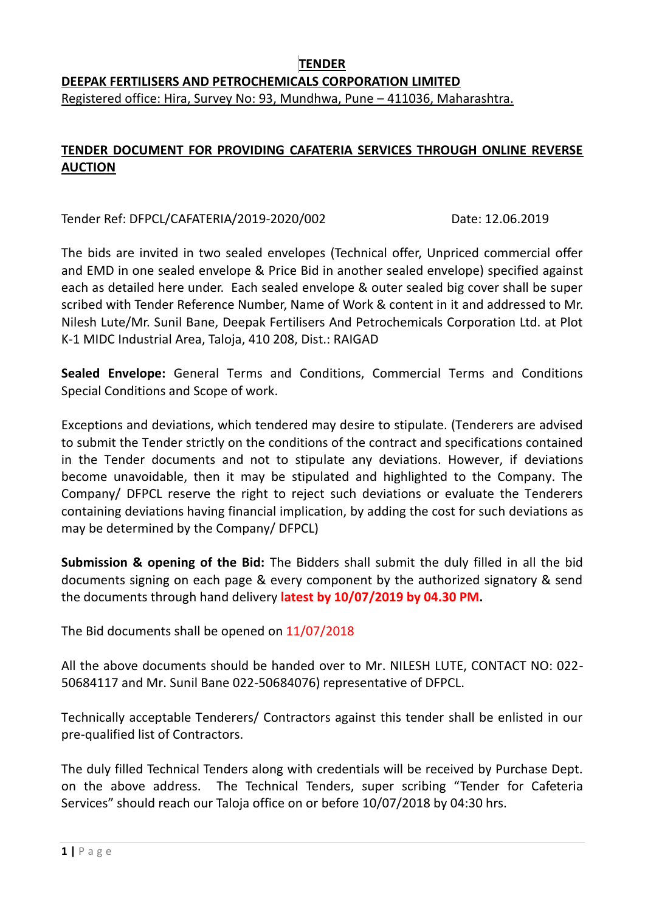#### **TENDER**

**DEEPAK FERTILISERS AND PETROCHEMICALS CORPORATION LIMITED**

Registered office: Hira, Survey No: 93, Mundhwa, Pune – 411036, Maharashtra.

# **TENDER DOCUMENT FOR PROVIDING CAFATERIA SERVICES THROUGH ONLINE REVERSE AUCTION**

Tender Ref: DFPCL/CAFATERIA/2019-2020/002 Date: 12.06.2019

The bids are invited in two sealed envelopes (Technical offer, Unpriced commercial offer and EMD in one sealed envelope & Price Bid in another sealed envelope) specified against each as detailed here under. Each sealed envelope & outer sealed big cover shall be super scribed with Tender Reference Number, Name of Work & content in it and addressed to Mr. Nilesh Lute/Mr. Sunil Bane, Deepak Fertilisers And Petrochemicals Corporation Ltd. at Plot K-1 MIDC Industrial Area, Taloja, 410 208, Dist.: RAIGAD

**Sealed Envelope:** General Terms and Conditions, Commercial Terms and Conditions Special Conditions and Scope of work.

Exceptions and deviations, which tendered may desire to stipulate. (Tenderers are advised to submit the Tender strictly on the conditions of the contract and specifications contained in the Tender documents and not to stipulate any deviations. However, if deviations become unavoidable, then it may be stipulated and highlighted to the Company. The Company/ DFPCL reserve the right to reject such deviations or evaluate the Tenderers containing deviations having financial implication, by adding the cost for such deviations as may be determined by the Company/ DFPCL)

**Submission & opening of the Bid:** The Bidders shall submit the duly filled in all the bid documents signing on each page & every component by the authorized signatory & send the documents through hand delivery **latest by 10/07/2019 by 04.30 PM.**

The Bid documents shall be opened on 11/07/2018

All the above documents should be handed over to Mr. NILESH LUTE, CONTACT NO: 022- 50684117 and Mr. Sunil Bane 022-50684076) representative of DFPCL.

Technically acceptable Tenderers/ Contractors against this tender shall be enlisted in our pre-qualified list of Contractors.

The duly filled Technical Tenders along with credentials will be received by Purchase Dept. on the above address. The Technical Tenders, super scribing "Tender for Cafeteria Services" should reach our Taloja office on or before 10/07/2018 by 04:30 hrs.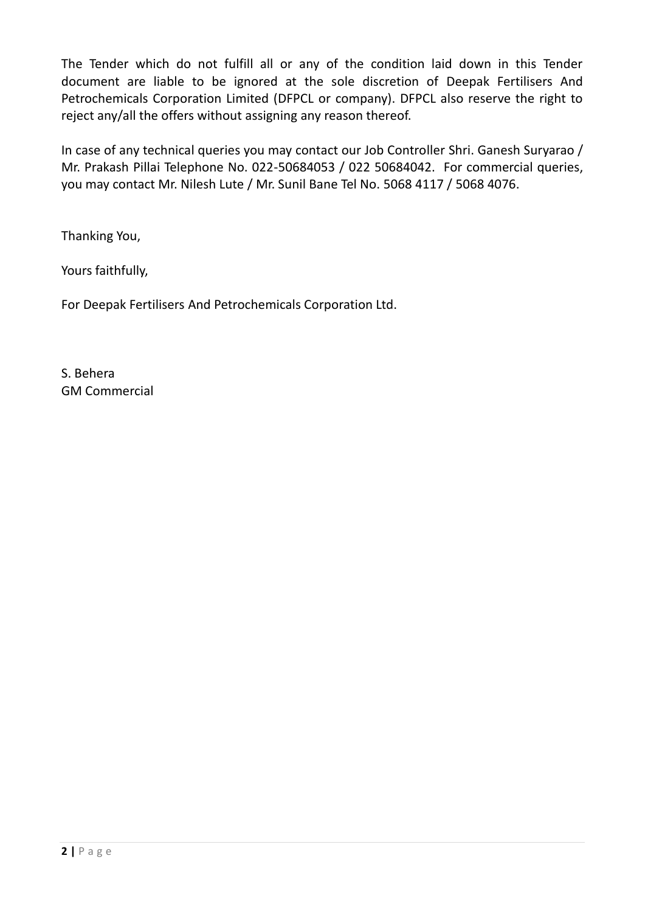The Tender which do not fulfill all or any of the condition laid down in this Tender document are liable to be ignored at the sole discretion of Deepak Fertilisers And Petrochemicals Corporation Limited (DFPCL or company). DFPCL also reserve the right to reject any/all the offers without assigning any reason thereof.

In case of any technical queries you may contact our Job Controller Shri. Ganesh Suryarao / Mr. Prakash Pillai Telephone No. 022-50684053 / 022 50684042. For commercial queries, you may contact Mr. Nilesh Lute / Mr. Sunil Bane Tel No. 5068 4117 / 5068 4076.

Thanking You,

Yours faithfully,

For Deepak Fertilisers And Petrochemicals Corporation Ltd.

S. Behera GM Commercial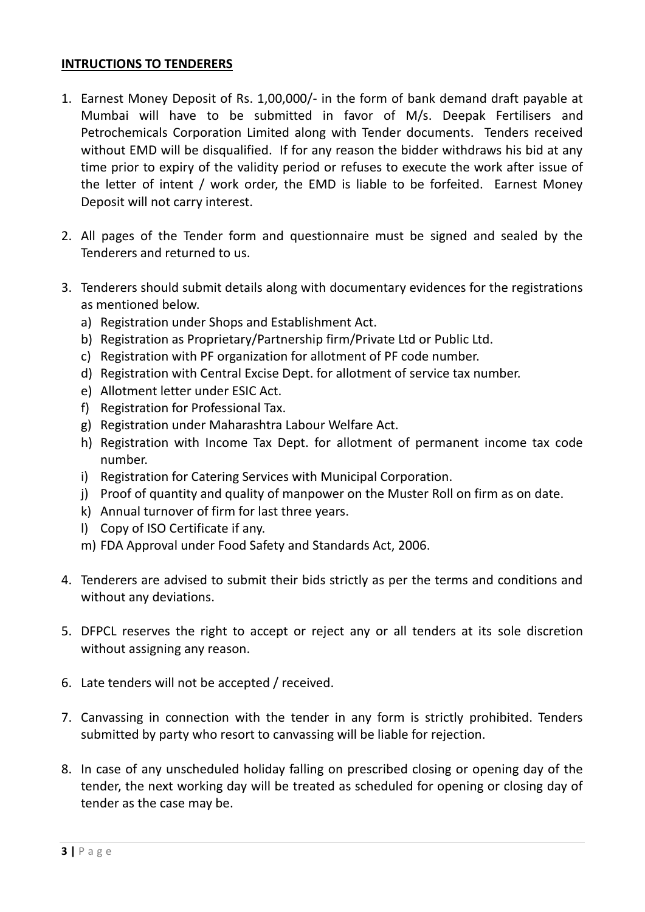#### **INTRUCTIONS TO TENDERERS**

- 1. Earnest Money Deposit of Rs. 1,00,000/- in the form of bank demand draft payable at Mumbai will have to be submitted in favor of M/s. Deepak Fertilisers and Petrochemicals Corporation Limited along with Tender documents. Tenders received without EMD will be disqualified. If for any reason the bidder withdraws his bid at any time prior to expiry of the validity period or refuses to execute the work after issue of the letter of intent / work order, the EMD is liable to be forfeited. Earnest Money Deposit will not carry interest.
- 2. All pages of the Tender form and questionnaire must be signed and sealed by the Tenderers and returned to us.
- 3. Tenderers should submit details along with documentary evidences for the registrations as mentioned below.
	- a) Registration under Shops and Establishment Act.
	- b) Registration as Proprietary/Partnership firm/Private Ltd or Public Ltd.
	- c) Registration with PF organization for allotment of PF code number.
	- d) Registration with Central Excise Dept. for allotment of service tax number.
	- e) Allotment letter under ESIC Act.
	- f) Registration for Professional Tax.
	- g) Registration under Maharashtra Labour Welfare Act.
	- h) Registration with Income Tax Dept. for allotment of permanent income tax code number.
	- i) Registration for Catering Services with Municipal Corporation.
	- j) Proof of quantity and quality of manpower on the Muster Roll on firm as on date.
	- k) Annual turnover of firm for last three years.
	- l) Copy of ISO Certificate if any.
	- m) FDA Approval under Food Safety and Standards Act, 2006.
- 4. Tenderers are advised to submit their bids strictly as per the terms and conditions and without any deviations.
- 5. DFPCL reserves the right to accept or reject any or all tenders at its sole discretion without assigning any reason.
- 6. Late tenders will not be accepted / received.
- 7. Canvassing in connection with the tender in any form is strictly prohibited. Tenders submitted by party who resort to canvassing will be liable for rejection.
- 8. In case of any unscheduled holiday falling on prescribed closing or opening day of the tender, the next working day will be treated as scheduled for opening or closing day of tender as the case may be.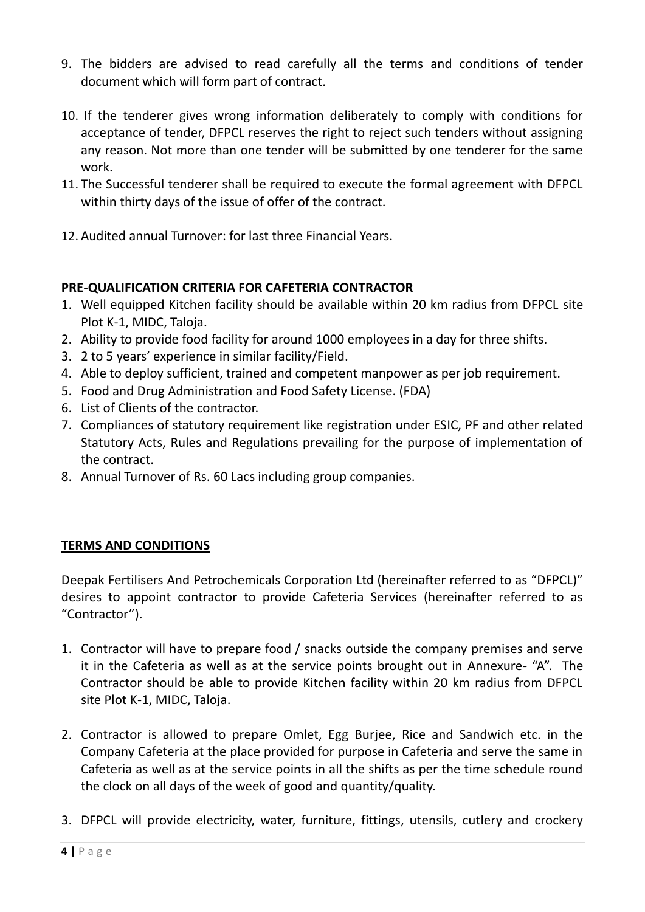- 9. The bidders are advised to read carefully all the terms and conditions of tender document which will form part of contract.
- 10. If the tenderer gives wrong information deliberately to comply with conditions for acceptance of tender, DFPCL reserves the right to reject such tenders without assigning any reason. Not more than one tender will be submitted by one tenderer for the same work.
- 11. The Successful tenderer shall be required to execute the formal agreement with DFPCL within thirty days of the issue of offer of the contract.
- 12. Audited annual Turnover: for last three Financial Years.

## **PRE-QUALIFICATION CRITERIA FOR CAFETERIA CONTRACTOR**

- 1. Well equipped Kitchen facility should be available within 20 km radius from DFPCL site Plot K-1, MIDC, Taloja.
- 2. Ability to provide food facility for around 1000 employees in a day for three shifts.
- 3. 2 to 5 years' experience in similar facility/Field.
- 4. Able to deploy sufficient, trained and competent manpower as per job requirement.
- 5. Food and Drug Administration and Food Safety License. (FDA)
- 6. List of Clients of the contractor.
- 7. Compliances of statutory requirement like registration under ESIC, PF and other related Statutory Acts, Rules and Regulations prevailing for the purpose of implementation of the contract.
- 8. Annual Turnover of Rs. 60 Lacs including group companies.

## **TERMS AND CONDITIONS**

Deepak Fertilisers And Petrochemicals Corporation Ltd (hereinafter referred to as "DFPCL)" desires to appoint contractor to provide Cafeteria Services (hereinafter referred to as "Contractor").

- 1. Contractor will have to prepare food / snacks outside the company premises and serve it in the Cafeteria as well as at the service points brought out in Annexure- "A". The Contractor should be able to provide Kitchen facility within 20 km radius from DFPCL site Plot K-1, MIDC, Taloja.
- 2. Contractor is allowed to prepare Omlet, Egg Burjee, Rice and Sandwich etc. in the Company Cafeteria at the place provided for purpose in Cafeteria and serve the same in Cafeteria as well as at the service points in all the shifts as per the time schedule round the clock on all days of the week of good and quantity/quality.
- 3. DFPCL will provide electricity, water, furniture, fittings, utensils, cutlery and crockery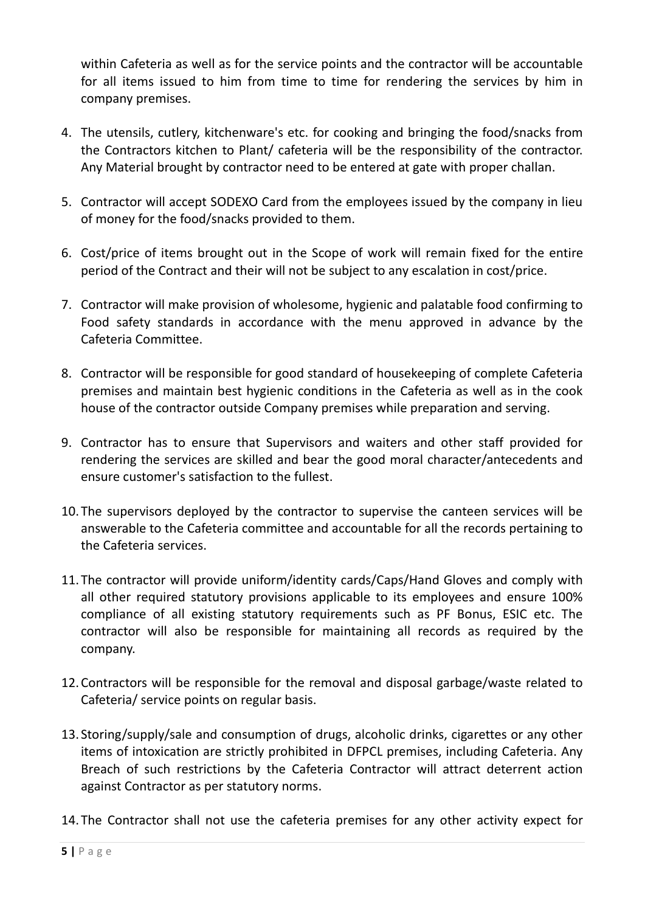within Cafeteria as well as for the service points and the contractor will be accountable for all items issued to him from time to time for rendering the services by him in company premises.

- 4. The utensils, cutlery, kitchenware's etc. for cooking and bringing the food/snacks from the Contractors kitchen to Plant/ cafeteria will be the responsibility of the contractor. Any Material brought by contractor need to be entered at gate with proper challan.
- 5. Contractor will accept SODEXO Card from the employees issued by the company in lieu of money for the food/snacks provided to them.
- 6. Cost/price of items brought out in the Scope of work will remain fixed for the entire period of the Contract and their will not be subject to any escalation in cost/price.
- 7. Contractor will make provision of wholesome, hygienic and palatable food confirming to Food safety standards in accordance with the menu approved in advance by the Cafeteria Committee.
- 8. Contractor will be responsible for good standard of housekeeping of complete Cafeteria premises and maintain best hygienic conditions in the Cafeteria as well as in the cook house of the contractor outside Company premises while preparation and serving.
- 9. Contractor has to ensure that Supervisors and waiters and other staff provided for rendering the services are skilled and bear the good moral character/antecedents and ensure customer's satisfaction to the fullest.
- 10.The supervisors deployed by the contractor to supervise the canteen services will be answerable to the Cafeteria committee and accountable for all the records pertaining to the Cafeteria services.
- 11.The contractor will provide uniform/identity cards/Caps/Hand Gloves and comply with all other required statutory provisions applicable to its employees and ensure 100% compliance of all existing statutory requirements such as PF Bonus, ESIC etc. The contractor will also be responsible for maintaining all records as required by the company.
- 12.Contractors will be responsible for the removal and disposal garbage/waste related to Cafeteria/ service points on regular basis.
- 13. Storing/supply/sale and consumption of drugs, alcoholic drinks, cigarettes or any other items of intoxication are strictly prohibited in DFPCL premises, including Cafeteria. Any Breach of such restrictions by the Cafeteria Contractor will attract deterrent action against Contractor as per statutory norms.
- 14.The Contractor shall not use the cafeteria premises for any other activity expect for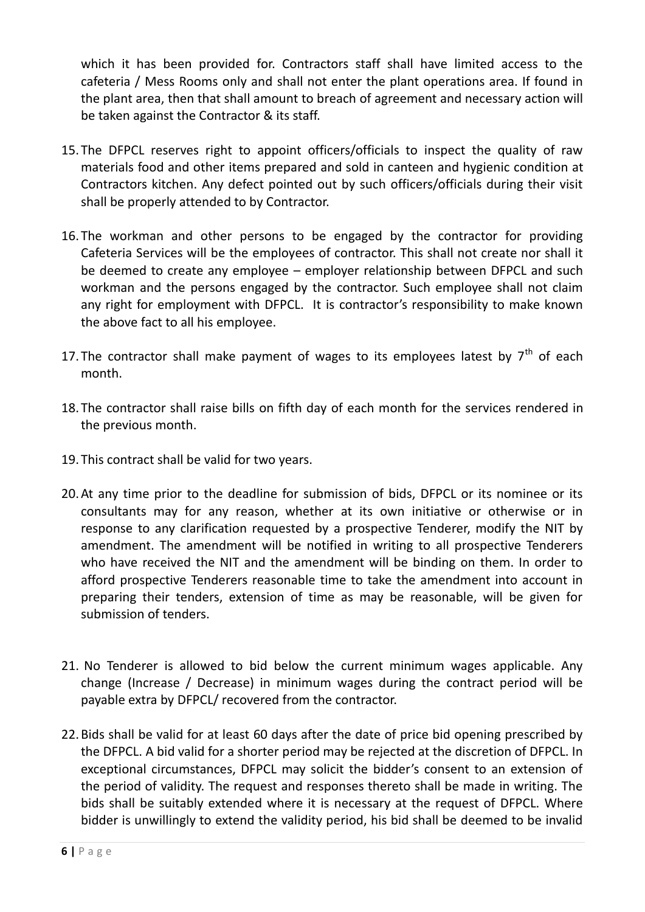which it has been provided for. Contractors staff shall have limited access to the cafeteria / Mess Rooms only and shall not enter the plant operations area. If found in the plant area, then that shall amount to breach of agreement and necessary action will be taken against the Contractor & its staff.

- 15.The DFPCL reserves right to appoint officers/officials to inspect the quality of raw materials food and other items prepared and sold in canteen and hygienic condition at Contractors kitchen. Any defect pointed out by such officers/officials during their visit shall be properly attended to by Contractor.
- 16.The workman and other persons to be engaged by the contractor for providing Cafeteria Services will be the employees of contractor. This shall not create nor shall it be deemed to create any employee – employer relationship between DFPCL and such workman and the persons engaged by the contractor. Such employee shall not claim any right for employment with DFPCL. It is contractor's responsibility to make known the above fact to all his employee.
- 17. The contractor shall make payment of wages to its employees latest by  $7<sup>th</sup>$  of each month.
- 18.The contractor shall raise bills on fifth day of each month for the services rendered in the previous month.
- 19.This contract shall be valid for two years.
- 20.At any time prior to the deadline for submission of bids, DFPCL or its nominee or its consultants may for any reason, whether at its own initiative or otherwise or in response to any clarification requested by a prospective Tenderer, modify the NIT by amendment. The amendment will be notified in writing to all prospective Tenderers who have received the NIT and the amendment will be binding on them. In order to afford prospective Tenderers reasonable time to take the amendment into account in preparing their tenders, extension of time as may be reasonable, will be given for submission of tenders.
- 21. No Tenderer is allowed to bid below the current minimum wages applicable. Any change (Increase / Decrease) in minimum wages during the contract period will be payable extra by DFPCL/ recovered from the contractor.
- 22.Bids shall be valid for at least 60 days after the date of price bid opening prescribed by the DFPCL. A bid valid for a shorter period may be rejected at the discretion of DFPCL. In exceptional circumstances, DFPCL may solicit the bidder's consent to an extension of the period of validity. The request and responses thereto shall be made in writing. The bids shall be suitably extended where it is necessary at the request of DFPCL. Where bidder is unwillingly to extend the validity period, his bid shall be deemed to be invalid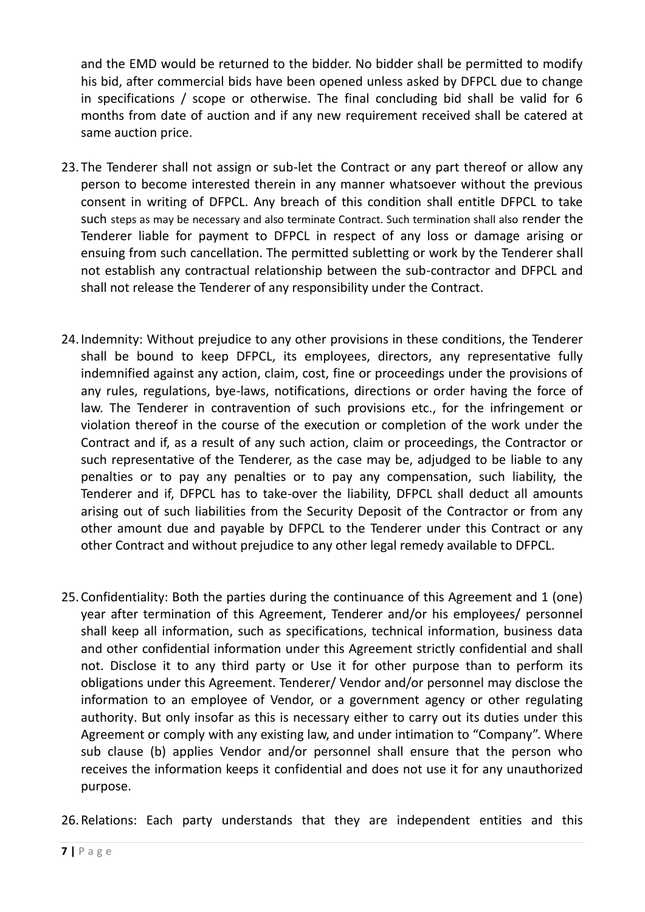and the EMD would be returned to the bidder. No bidder shall be permitted to modify his bid, after commercial bids have been opened unless asked by DFPCL due to change in specifications / scope or otherwise. The final concluding bid shall be valid for 6 months from date of auction and if any new requirement received shall be catered at same auction price.

- 23.The Tenderer shall not assign or sub-let the Contract or any part thereof or allow any person to become interested therein in any manner whatsoever without the previous consent in writing of DFPCL. Any breach of this condition shall entitle DFPCL to take such steps as may be necessary and also terminate Contract. Such termination shall also render the Tenderer liable for payment to DFPCL in respect of any loss or damage arising or ensuing from such cancellation. The permitted subletting or work by the Tenderer shall not establish any contractual relationship between the sub-contractor and DFPCL and shall not release the Tenderer of any responsibility under the Contract.
- 24.Indemnity: Without prejudice to any other provisions in these conditions, the Tenderer shall be bound to keep DFPCL, its employees, directors, any representative fully indemnified against any action, claim, cost, fine or proceedings under the provisions of any rules, regulations, bye-laws, notifications, directions or order having the force of law. The Tenderer in contravention of such provisions etc., for the infringement or violation thereof in the course of the execution or completion of the work under the Contract and if, as a result of any such action, claim or proceedings, the Contractor or such representative of the Tenderer, as the case may be, adjudged to be liable to any penalties or to pay any penalties or to pay any compensation, such liability, the Tenderer and if, DFPCL has to take-over the liability, DFPCL shall deduct all amounts arising out of such liabilities from the Security Deposit of the Contractor or from any other amount due and payable by DFPCL to the Tenderer under this Contract or any other Contract and without prejudice to any other legal remedy available to DFPCL.
- 25.Confidentiality: Both the parties during the continuance of this Agreement and 1 (one) year after termination of this Agreement, Tenderer and/or his employees/ personnel shall keep all information, such as specifications, technical information, business data and other confidential information under this Agreement strictly confidential and shall not. Disclose it to any third party or Use it for other purpose than to perform its obligations under this Agreement. Tenderer/ Vendor and/or personnel may disclose the information to an employee of Vendor, or a government agency or other regulating authority. But only insofar as this is necessary either to carry out its duties under this Agreement or comply with any existing law, and under intimation to "Company". Where sub clause (b) applies Vendor and/or personnel shall ensure that the person who receives the information keeps it confidential and does not use it for any unauthorized purpose.
- 26.Relations: Each party understands that they are independent entities and this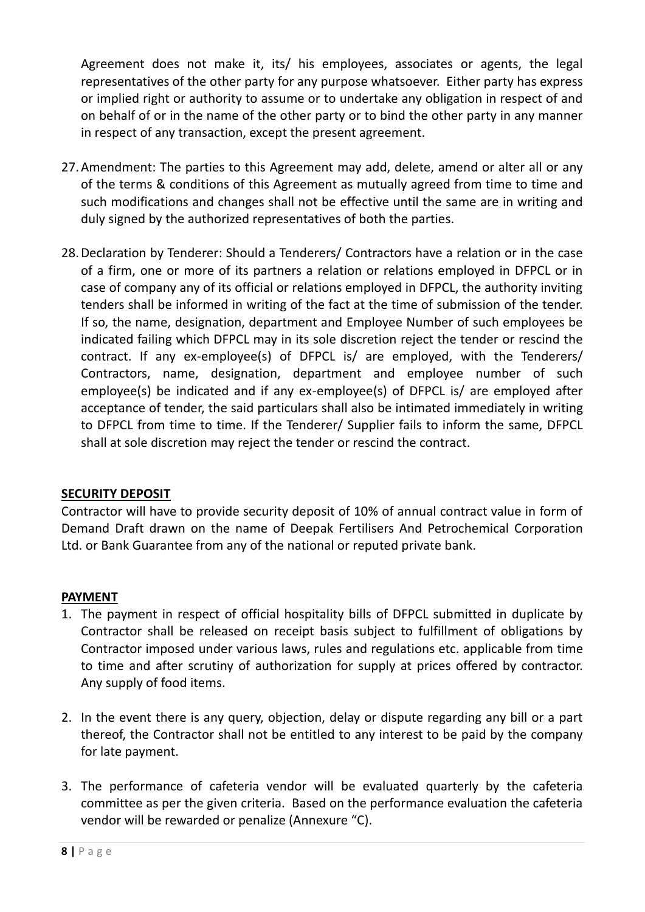Agreement does not make it, its/ his employees, associates or agents, the legal representatives of the other party for any purpose whatsoever. Either party has express or implied right or authority to assume or to undertake any obligation in respect of and on behalf of or in the name of the other party or to bind the other party in any manner in respect of any transaction, except the present agreement.

- 27.Amendment: The parties to this Agreement may add, delete, amend or alter all or any of the terms & conditions of this Agreement as mutually agreed from time to time and such modifications and changes shall not be effective until the same are in writing and duly signed by the authorized representatives of both the parties.
- 28.Declaration by Tenderer: Should a Tenderers/ Contractors have a relation or in the case of a firm, one or more of its partners a relation or relations employed in DFPCL or in case of company any of its official or relations employed in DFPCL, the authority inviting tenders shall be informed in writing of the fact at the time of submission of the tender. If so, the name, designation, department and Employee Number of such employees be indicated failing which DFPCL may in its sole discretion reject the tender or rescind the contract. If any ex-employee(s) of DFPCL is/ are employed, with the Tenderers/ Contractors, name, designation, department and employee number of such employee(s) be indicated and if any ex-employee(s) of DFPCL is/ are employed after acceptance of tender, the said particulars shall also be intimated immediately in writing to DFPCL from time to time. If the Tenderer/ Supplier fails to inform the same, DFPCL shall at sole discretion may reject the tender or rescind the contract.

## **SECURITY DEPOSIT**

Contractor will have to provide security deposit of 10% of annual contract value in form of Demand Draft drawn on the name of Deepak Fertilisers And Petrochemical Corporation Ltd. or Bank Guarantee from any of the national or reputed private bank.

#### **PAYMENT**

- 1. The payment in respect of official hospitality bills of DFPCL submitted in duplicate by Contractor shall be released on receipt basis subject to fulfillment of obligations by Contractor imposed under various laws, rules and regulations etc. applicable from time to time and after scrutiny of authorization for supply at prices offered by contractor. Any supply of food items.
- 2. In the event there is any query, objection, delay or dispute regarding any bill or a part thereof, the Contractor shall not be entitled to any interest to be paid by the company for late payment.
- 3. The performance of cafeteria vendor will be evaluated quarterly by the cafeteria committee as per the given criteria. Based on the performance evaluation the cafeteria vendor will be rewarded or penalize (Annexure "C).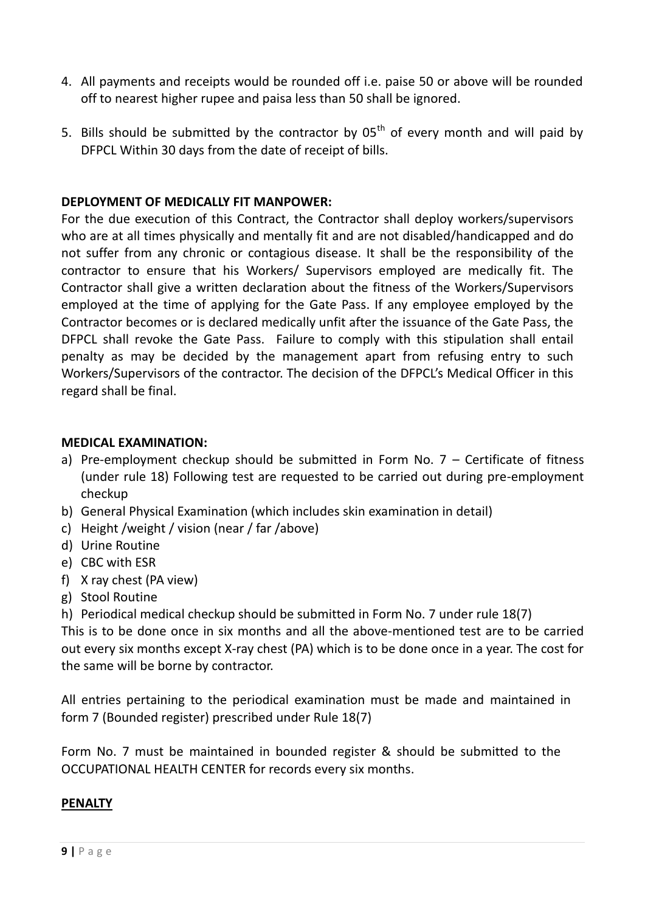- 4. All payments and receipts would be rounded off i.e. paise 50 or above will be rounded off to nearest higher rupee and paisa less than 50 shall be ignored.
- 5. Bills should be submitted by the contractor by  $05<sup>th</sup>$  of every month and will paid by DFPCL Within 30 days from the date of receipt of bills.

### **DEPLOYMENT OF MEDICALLY FIT MANPOWER:**

For the due execution of this Contract, the Contractor shall deploy workers/supervisors who are at all times physically and mentally fit and are not disabled/handicapped and do not suffer from any chronic or contagious disease. It shall be the responsibility of the contractor to ensure that his Workers/ Supervisors employed are medically fit. The Contractor shall give a written declaration about the fitness of the Workers/Supervisors employed at the time of applying for the Gate Pass. If any employee employed by the Contractor becomes or is declared medically unfit after the issuance of the Gate Pass, the DFPCL shall revoke the Gate Pass. Failure to comply with this stipulation shall entail penalty as may be decided by the management apart from refusing entry to such Workers/Supervisors of the contractor. The decision of the DFPCL's Medical Officer in this regard shall be final.

#### **MEDICAL EXAMINATION:**

- a) Pre-employment checkup should be submitted in Form No.  $7$  Certificate of fitness (under rule 18) Following test are requested to be carried out during pre-employment checkup
- b) General Physical Examination (which includes skin examination in detail)
- c) Height /weight / vision (near / far /above)
- d) Urine Routine
- e) CBC with ESR
- f) X ray chest (PA view)
- g) Stool Routine
- h) Periodical medical checkup should be submitted in Form No. 7 under rule 18(7)

This is to be done once in six months and all the above-mentioned test are to be carried out every six months except X-ray chest (PA) which is to be done once in a year. The cost for the same will be borne by contractor.

All entries pertaining to the periodical examination must be made and maintained in form 7 (Bounded register) prescribed under Rule 18(7)

Form No. 7 must be maintained in bounded register & should be submitted to the OCCUPATIONAL HEALTH CENTER for records every six months.

#### **PENALTY**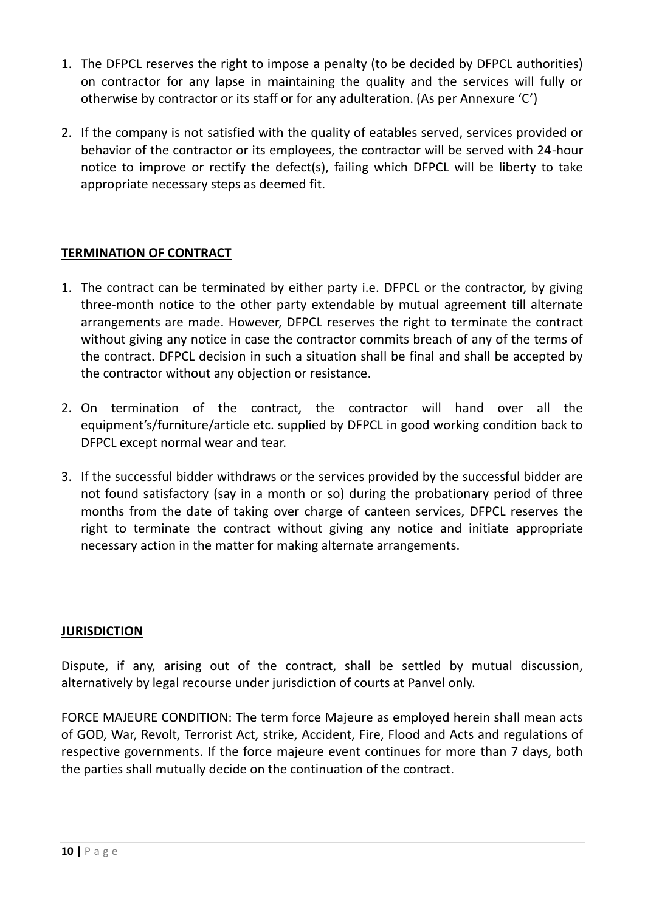- 1. The DFPCL reserves the right to impose a penalty (to be decided by DFPCL authorities) on contractor for any lapse in maintaining the quality and the services will fully or otherwise by contractor or its staff or for any adulteration. (As per Annexure 'C')
- 2. If the company is not satisfied with the quality of eatables served, services provided or behavior of the contractor or its employees, the contractor will be served with 24-hour notice to improve or rectify the defect(s), failing which DFPCL will be liberty to take appropriate necessary steps as deemed fit.

## **TERMINATION OF CONTRACT**

- 1. The contract can be terminated by either party i.e. DFPCL or the contractor, by giving three-month notice to the other party extendable by mutual agreement till alternate arrangements are made. However, DFPCL reserves the right to terminate the contract without giving any notice in case the contractor commits breach of any of the terms of the contract. DFPCL decision in such a situation shall be final and shall be accepted by the contractor without any objection or resistance.
- 2. On termination of the contract, the contractor will hand over all the equipment's/furniture/article etc. supplied by DFPCL in good working condition back to DFPCL except normal wear and tear.
- 3. If the successful bidder withdraws or the services provided by the successful bidder are not found satisfactory (say in a month or so) during the probationary period of three months from the date of taking over charge of canteen services, DFPCL reserves the right to terminate the contract without giving any notice and initiate appropriate necessary action in the matter for making alternate arrangements.

## **JURISDICTION**

Dispute, if any, arising out of the contract, shall be settled by mutual discussion, alternatively by legal recourse under jurisdiction of courts at Panvel only.

FORCE MAJEURE CONDITION: The term force Majeure as employed herein shall mean acts of GOD, War, Revolt, Terrorist Act, strike, Accident, Fire, Flood and Acts and regulations of respective governments. If the force majeure event continues for more than 7 days, both the parties shall mutually decide on the continuation of the contract.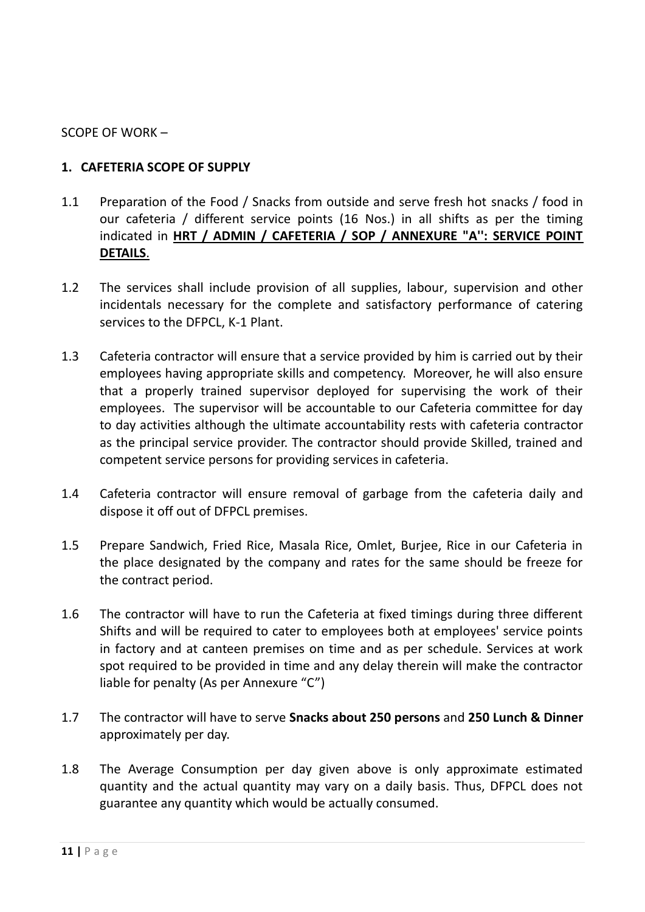SCOPE OF WORK –

#### **1. CAFETERIA SCOPE OF SUPPLY**

- 1.1 Preparation of the Food / Snacks from outside and serve fresh hot snacks / food in our cafeteria / different service points (16 Nos.) in all shifts as per the timing indicated in **HRT / ADMIN / CAFETERIA / SOP / ANNEXURE "A'': SERVICE POINT DETAILS**.
- 1.2 The services shall include provision of all supplies, labour, supervision and other incidentals necessary for the complete and satisfactory performance of catering services to the DFPCL, K-1 Plant.
- 1.3 Cafeteria contractor will ensure that a service provided by him is carried out by their employees having appropriate skills and competency. Moreover, he will also ensure that a properly trained supervisor deployed for supervising the work of their employees. The supervisor will be accountable to our Cafeteria committee for day to day activities although the ultimate accountability rests with cafeteria contractor as the principal service provider. The contractor should provide Skilled, trained and competent service persons for providing services in cafeteria.
- 1.4 Cafeteria contractor will ensure removal of garbage from the cafeteria daily and dispose it off out of DFPCL premises.
- 1.5 Prepare Sandwich, Fried Rice, Masala Rice, Omlet, Burjee, Rice in our Cafeteria in the place designated by the company and rates for the same should be freeze for the contract period.
- 1.6 The contractor will have to run the Cafeteria at fixed timings during three different Shifts and will be required to cater to employees both at employees' service points in factory and at canteen premises on time and as per schedule. Services at work spot required to be provided in time and any delay therein will make the contractor liable for penalty (As per Annexure "C")
- 1.7 The contractor will have to serve **Snacks about 250 persons** and **250 Lunch & Dinner** approximately per day.
- 1.8 The Average Consumption per day given above is only approximate estimated quantity and the actual quantity may vary on a daily basis. Thus, DFPCL does not guarantee any quantity which would be actually consumed.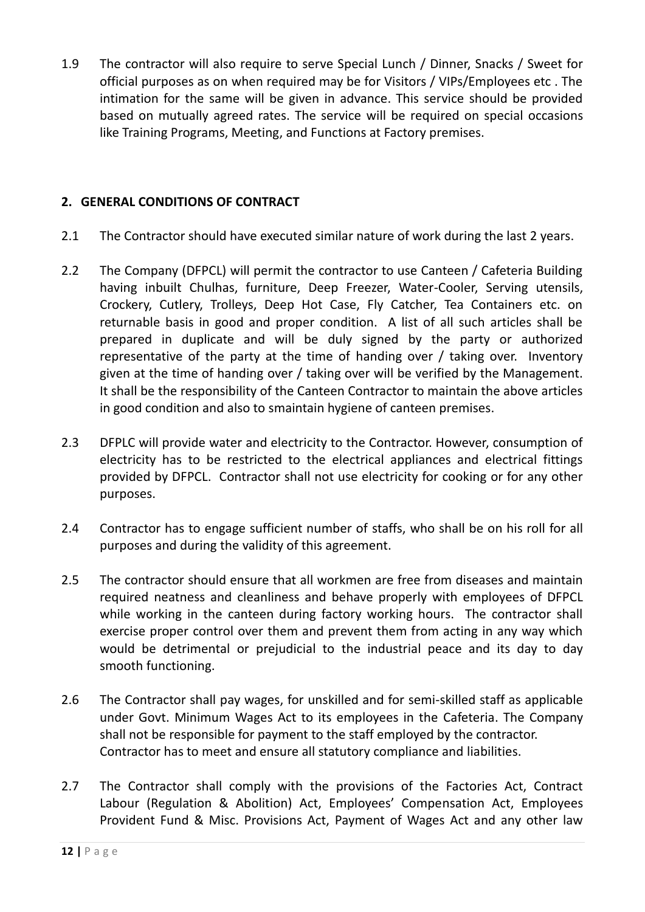1.9 The contractor will also require to serve Special Lunch / Dinner, Snacks / Sweet for official purposes as on when required may be for Visitors / VIPs/Employees etc . The intimation for the same will be given in advance. This service should be provided based on mutually agreed rates. The service will be required on special occasions like Training Programs, Meeting, and Functions at Factory premises.

## **2. GENERAL CONDITIONS OF CONTRACT**

- 2.1 The Contractor should have executed similar nature of work during the last 2 years.
- 2.2 The Company (DFPCL) will permit the contractor to use Canteen / Cafeteria Building having inbuilt Chulhas, furniture, Deep Freezer, Water-Cooler, Serving utensils, Crockery, Cutlery, Trolleys, Deep Hot Case, Fly Catcher, Tea Containers etc. on returnable basis in good and proper condition. A list of all such articles shall be prepared in duplicate and will be duly signed by the party or authorized representative of the party at the time of handing over / taking over. Inventory given at the time of handing over / taking over will be verified by the Management. It shall be the responsibility of the Canteen Contractor to maintain the above articles in good condition and also to smaintain hygiene of canteen premises.
- 2.3 DFPLC will provide water and electricity to the Contractor. However, consumption of electricity has to be restricted to the electrical appliances and electrical fittings provided by DFPCL. Contractor shall not use electricity for cooking or for any other purposes.
- 2.4 Contractor has to engage sufficient number of staffs, who shall be on his roll for all purposes and during the validity of this agreement.
- 2.5 The contractor should ensure that all workmen are free from diseases and maintain required neatness and cleanliness and behave properly with employees of DFPCL while working in the canteen during factory working hours. The contractor shall exercise proper control over them and prevent them from acting in any way which would be detrimental or prejudicial to the industrial peace and its day to day smooth functioning.
- 2.6 The Contractor shall pay wages, for unskilled and for semi-skilled staff as applicable under Govt. Minimum Wages Act to its employees in the Cafeteria. The Company shall not be responsible for payment to the staff employed by the contractor. Contractor has to meet and ensure all statutory compliance and liabilities.
- 2.7 The Contractor shall comply with the provisions of the Factories Act, Contract Labour (Regulation & Abolition) Act, Employees' Compensation Act, Employees Provident Fund & Misc. Provisions Act, Payment of Wages Act and any other law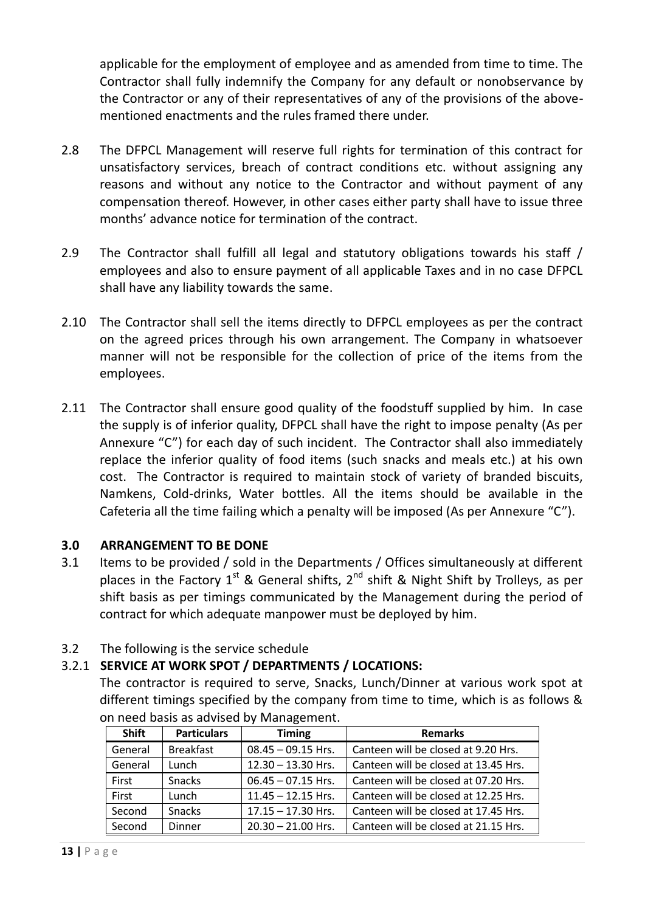applicable for the employment of employee and as amended from time to time. The Contractor shall fully indemnify the Company for any default or nonobservance by the Contractor or any of their representatives of any of the provisions of the abovementioned enactments and the rules framed there under.

- 2.8 The DFPCL Management will reserve full rights for termination of this contract for unsatisfactory services, breach of contract conditions etc. without assigning any reasons and without any notice to the Contractor and without payment of any compensation thereof. However, in other cases either party shall have to issue three months' advance notice for termination of the contract.
- 2.9 The Contractor shall fulfill all legal and statutory obligations towards his staff / employees and also to ensure payment of all applicable Taxes and in no case DFPCL shall have any liability towards the same.
- 2.10 The Contractor shall sell the items directly to DFPCL employees as per the contract on the agreed prices through his own arrangement. The Company in whatsoever manner will not be responsible for the collection of price of the items from the employees.
- 2.11 The Contractor shall ensure good quality of the foodstuff supplied by him. In case the supply is of inferior quality, DFPCL shall have the right to impose penalty (As per Annexure "C") for each day of such incident. The Contractor shall also immediately replace the inferior quality of food items (such snacks and meals etc.) at his own cost. The Contractor is required to maintain stock of variety of branded biscuits, Namkens, Cold-drinks, Water bottles. All the items should be available in the Cafeteria all the time failing which a penalty will be imposed (As per Annexure "C").

## **3.0 ARRANGEMENT TO BE DONE**

- 3.1 Items to be provided / sold in the Departments / Offices simultaneously at different places in the Factory  $1^{st}$  & General shifts,  $2^{nd}$  shift & Night Shift by Trolleys, as per shift basis as per timings communicated by the Management during the period of contract for which adequate manpower must be deployed by him.
- 3.2 The following is the service schedule

## 3.2.1 **SERVICE AT WORK SPOT / DEPARTMENTS / LOCATIONS:**

The contractor is required to serve, Snacks, Lunch/Dinner at various work spot at different timings specified by the company from time to time, which is as follows & on need basis as advised by Management.

| <b>Particulars</b><br><b>Shift</b> |               | <b>Timing</b>        | <b>Remarks</b>                       |  |  |  |
|------------------------------------|---------------|----------------------|--------------------------------------|--|--|--|
| General<br><b>Breakfast</b>        |               | $08.45 - 09.15$ Hrs. | Canteen will be closed at 9.20 Hrs.  |  |  |  |
| General                            | Lunch         | $12.30 - 13.30$ Hrs. | Canteen will be closed at 13.45 Hrs. |  |  |  |
| First                              | <b>Snacks</b> | $06.45 - 07.15$ Hrs. | Canteen will be closed at 07.20 Hrs. |  |  |  |
| First                              | Lunch         | $11.45 - 12.15$ Hrs. | Canteen will be closed at 12.25 Hrs. |  |  |  |
| Second                             | <b>Snacks</b> | $17.15 - 17.30$ Hrs. | Canteen will be closed at 17.45 Hrs. |  |  |  |
| Second                             | Dinner        | $20.30 - 21.00$ Hrs. | Canteen will be closed at 21.15 Hrs. |  |  |  |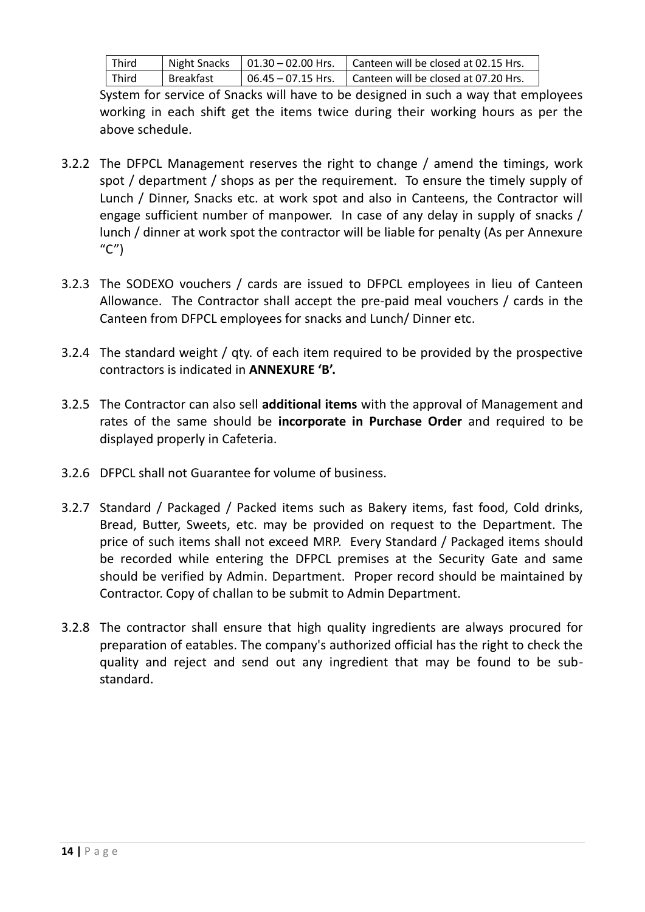| Third |           | Night Snacks $\vert$ 01.30 – 02.00 Hrs. | Canteen will be closed at 02.15 Hrs. |
|-------|-----------|-----------------------------------------|--------------------------------------|
| Third | Breakfast | $06.45 - 07.15$ Hrs.                    | Canteen will be closed at 07.20 Hrs. |

System for service of Snacks will have to be designed in such a way that employees working in each shift get the items twice during their working hours as per the above schedule.

- 3.2.2 The DFPCL Management reserves the right to change / amend the timings, work spot / department / shops as per the requirement. To ensure the timely supply of Lunch / Dinner, Snacks etc. at work spot and also in Canteens, the Contractor will engage sufficient number of manpower. In case of any delay in supply of snacks / lunch / dinner at work spot the contractor will be liable for penalty (As per Annexure  $(C'')$
- 3.2.3 The SODEXO vouchers / cards are issued to DFPCL employees in lieu of Canteen Allowance. The Contractor shall accept the pre-paid meal vouchers / cards in the Canteen from DFPCL employees for snacks and Lunch/ Dinner etc.
- 3.2.4 The standard weight / qty. of each item required to be provided by the prospective contractors is indicated in **ANNEXURE 'B'.**
- 3.2.5 The Contractor can also sell **additional items** with the approval of Management and rates of the same should be **incorporate in Purchase Order** and required to be displayed properly in Cafeteria.
- 3.2.6 DFPCL shall not Guarantee for volume of business.
- 3.2.7 Standard / Packaged / Packed items such as Bakery items, fast food, Cold drinks, Bread, Butter, Sweets, etc. may be provided on request to the Department. The price of such items shall not exceed MRP. Every Standard / Packaged items should be recorded while entering the DFPCL premises at the Security Gate and same should be verified by Admin. Department. Proper record should be maintained by Contractor. Copy of challan to be submit to Admin Department.
- 3.2.8 The contractor shall ensure that high quality ingredients are always procured for preparation of eatables. The company's authorized official has the right to check the quality and reject and send out any ingredient that may be found to be substandard.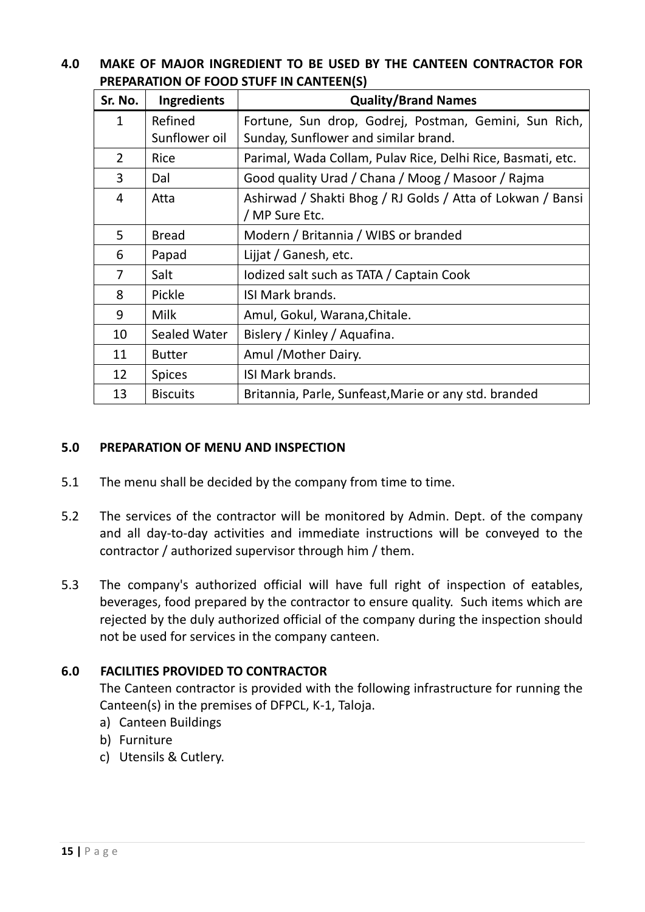| Sr. No.        | <b>Ingredients</b>       | <b>Quality/Brand Names</b>                                                                    |
|----------------|--------------------------|-----------------------------------------------------------------------------------------------|
| $\mathbf{1}$   | Refined<br>Sunflower oil | Fortune, Sun drop, Godrej, Postman, Gemini, Sun Rich,<br>Sunday, Sunflower and similar brand. |
| 2              | Rice                     | Parimal, Wada Collam, Pulav Rice, Delhi Rice, Basmati, etc.                                   |
| 3              | Dal                      | Good quality Urad / Chana / Moog / Masoor / Rajma                                             |
| 4              | Atta                     | Ashirwad / Shakti Bhog / RJ Golds / Atta of Lokwan / Bansi<br>/ MP Sure Etc.                  |
| 5              | <b>Bread</b>             | Modern / Britannia / WIBS or branded                                                          |
| 6              | Papad                    | Lijjat / Ganesh, etc.                                                                         |
| $\overline{7}$ | Salt                     | lodized salt such as TATA / Captain Cook                                                      |
| 8              | Pickle                   | ISI Mark brands.                                                                              |
| 9              | <b>Milk</b>              | Amul, Gokul, Warana, Chitale.                                                                 |
| 10             | Sealed Water             | Bislery / Kinley / Aquafina.                                                                  |
| 11             | <b>Butter</b>            | Amul / Mother Dairy.                                                                          |
| 12             | <b>Spices</b>            | ISI Mark brands.                                                                              |
| 13             | <b>Biscuits</b>          | Britannia, Parle, Sunfeast, Marie or any std. branded                                         |

**4.0 MAKE OF MAJOR INGREDIENT TO BE USED BY THE CANTEEN CONTRACTOR FOR PREPARATION OF FOOD STUFF IN CANTEEN(S)**

#### **5.0 PREPARATION OF MENU AND INSPECTION**

- 5.1 The menu shall be decided by the company from time to time.
- 5.2 The services of the contractor will be monitored by Admin. Dept. of the company and all day-to-day activities and immediate instructions will be conveyed to the contractor / authorized supervisor through him / them.
- 5.3 The company's authorized official will have full right of inspection of eatables, beverages, food prepared by the contractor to ensure quality. Such items which are rejected by the duly authorized official of the company during the inspection should not be used for services in the company canteen.

## **6.0 FACILITIES PROVIDED TO CONTRACTOR**

The Canteen contractor is provided with the following infrastructure for running the Canteen(s) in the premises of DFPCL, K-1, Taloja.

- a) Canteen Buildings
- b) Furniture
- c) Utensils & Cutlery.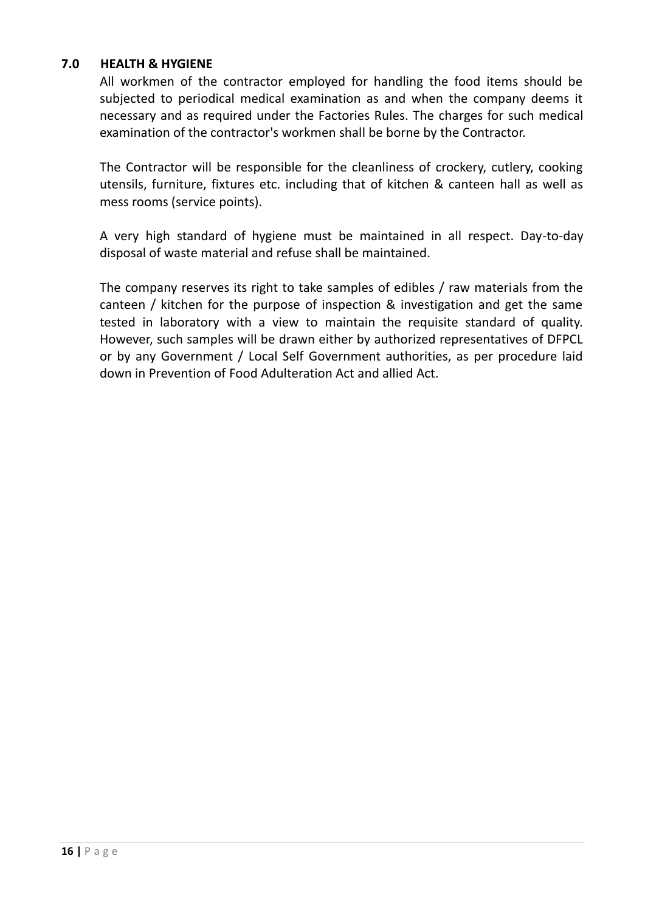### **7.0 HEALTH & HYGIENE**

All workmen of the contractor employed for handling the food items should be subjected to periodical medical examination as and when the company deems it necessary and as required under the Factories Rules. The charges for such medical examination of the contractor's workmen shall be borne by the Contractor.

The Contractor will be responsible for the cleanliness of crockery, cutlery, cooking utensils, furniture, fixtures etc. including that of kitchen & canteen hall as well as mess rooms (service points).

A very high standard of hygiene must be maintained in all respect. Day-to-day disposal of waste material and refuse shall be maintained.

The company reserves its right to take samples of edibles / raw materials from the canteen / kitchen for the purpose of inspection & investigation and get the same tested in laboratory with a view to maintain the requisite standard of quality. However, such samples will be drawn either by authorized representatives of DFPCL or by any Government / Local Self Government authorities, as per procedure laid down in Prevention of Food Adulteration Act and allied Act.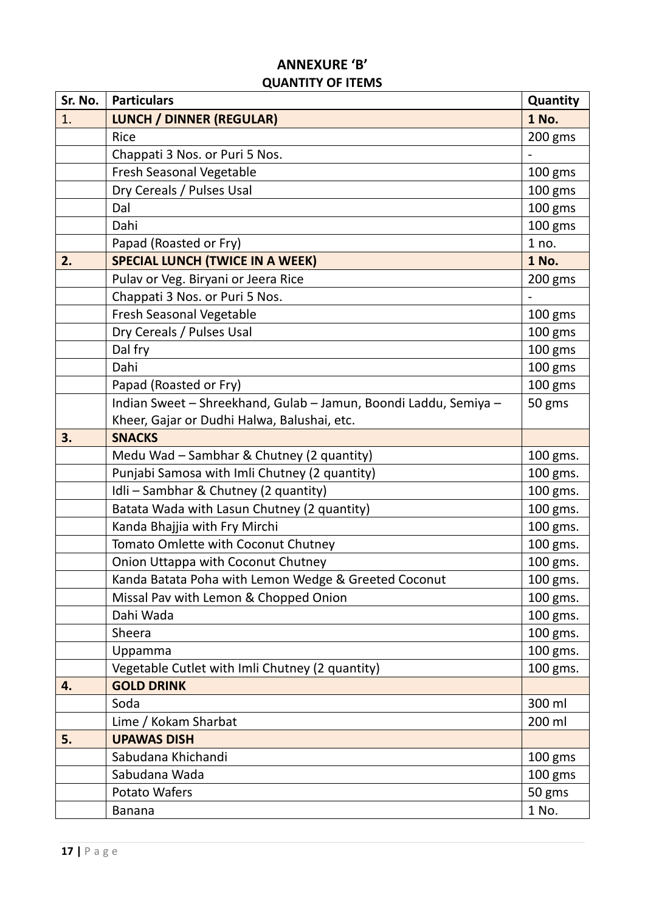## **ANNEXURE 'B' QUANTITY OF ITEMS**

| Sr. No. | <b>Particulars</b>                                               | Quantity  |
|---------|------------------------------------------------------------------|-----------|
| 1.      | <b>LUNCH / DINNER (REGULAR)</b>                                  | 1 No.     |
|         | <b>Rice</b>                                                      | $200$ gms |
|         | Chappati 3 Nos. or Puri 5 Nos.                                   |           |
|         | Fresh Seasonal Vegetable                                         | $100$ gms |
|         | Dry Cereals / Pulses Usal                                        | 100 gms   |
|         | Dal                                                              | 100 gms   |
|         | Dahi                                                             | 100 gms   |
|         | Papad (Roasted or Fry)                                           | 1 no.     |
| 2.      | <b>SPECIAL LUNCH (TWICE IN A WEEK)</b>                           | 1 No.     |
|         | Pulav or Veg. Biryani or Jeera Rice                              | 200 gms   |
|         | Chappati 3 Nos. or Puri 5 Nos.                                   |           |
|         | Fresh Seasonal Vegetable                                         | 100 gms   |
|         | Dry Cereals / Pulses Usal                                        | 100 gms   |
|         | Dal fry                                                          | 100 gms   |
|         | Dahi                                                             | 100 gms   |
|         | Papad (Roasted or Fry)                                           | 100 gms   |
|         | Indian Sweet - Shreekhand, Gulab - Jamun, Boondi Laddu, Semiya - | 50 gms    |
|         | Kheer, Gajar or Dudhi Halwa, Balushai, etc.                      |           |
| 3.      | <b>SNACKS</b>                                                    |           |
|         | Medu Wad - Sambhar & Chutney (2 quantity)                        | 100 gms.  |
|         | Punjabi Samosa with Imli Chutney (2 quantity)                    | 100 gms.  |
|         | Idli - Sambhar & Chutney (2 quantity)                            | 100 gms.  |
|         | Batata Wada with Lasun Chutney (2 quantity)                      | 100 gms.  |
|         | Kanda Bhajjia with Fry Mirchi                                    | 100 gms.  |
|         | <b>Tomato Omlette with Coconut Chutney</b>                       | 100 gms.  |
|         | Onion Uttappa with Coconut Chutney                               | 100 gms.  |
|         | Kanda Batata Poha with Lemon Wedge & Greeted Coconut             | 100 gms.  |
|         | Missal Pav with Lemon & Chopped Onion                            | 100 gms.  |
|         | Dahi Wada                                                        | 100 gms.  |
|         | Sheera                                                           | 100 gms.  |
|         | Uppamma                                                          | 100 gms.  |
|         | Vegetable Cutlet with Imli Chutney (2 quantity)                  | 100 gms.  |
| 4.      | <b>GOLD DRINK</b>                                                |           |
|         | Soda                                                             | 300 ml    |
|         | Lime / Kokam Sharbat                                             | 200 ml    |
| 5.      | <b>UPAWAS DISH</b>                                               |           |
|         | Sabudana Khichandi                                               | $100$ gms |
|         | Sabudana Wada                                                    | 100 gms   |
|         | <b>Potato Wafers</b>                                             | 50 gms    |
|         | <b>Banana</b>                                                    | 1 No.     |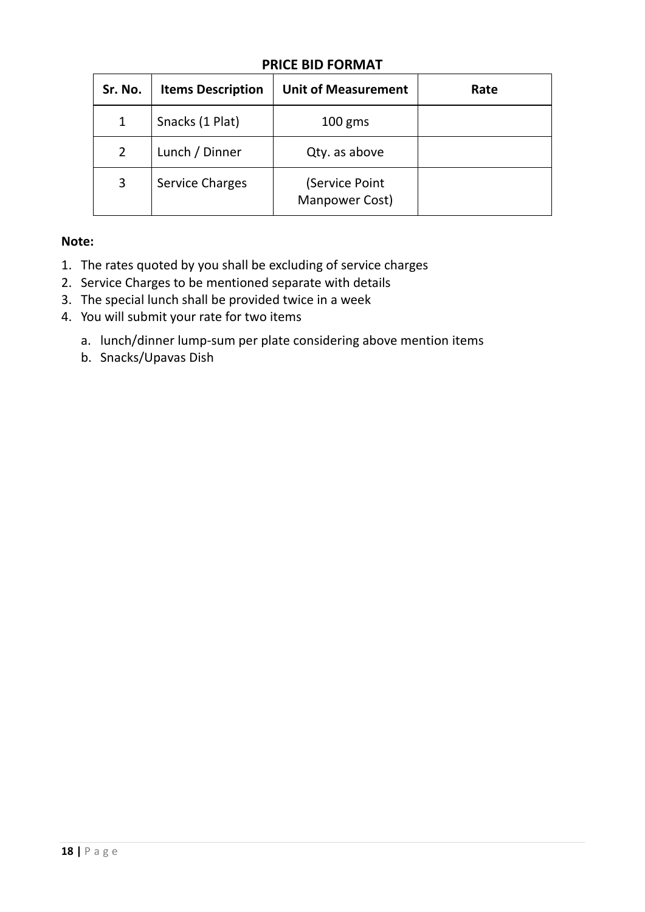## **PRICE BID FORMAT**

| Sr. No.        | <b>Items Description</b> | <b>Unit of Measurement</b>       | Rate |
|----------------|--------------------------|----------------------------------|------|
| 1              | Snacks (1 Plat)          | $100$ gms                        |      |
| $\overline{2}$ | Lunch / Dinner           | Qty. as above                    |      |
| 3              | <b>Service Charges</b>   | (Service Point<br>Manpower Cost) |      |

#### **Note:**

- 1. The rates quoted by you shall be excluding of service charges
- 2. Service Charges to be mentioned separate with details
- 3. The special lunch shall be provided twice in a week
- 4. You will submit your rate for two items
	- a. lunch/dinner lump-sum per plate considering above mention items
	- b. Snacks/Upavas Dish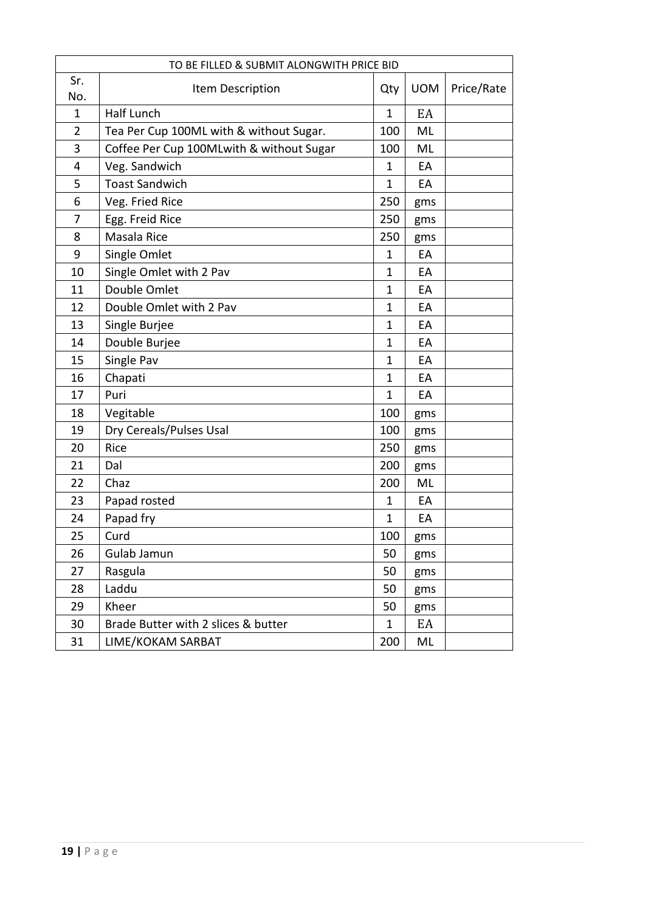| TO BE FILLED & SUBMIT ALONGWITH PRICE BID |                                          |              |            |            |  |
|-------------------------------------------|------------------------------------------|--------------|------------|------------|--|
| Sr.                                       | Item Description                         | Qty          | <b>UOM</b> | Price/Rate |  |
| No.<br>1                                  | <b>Half Lunch</b>                        | $\mathbf{1}$ | EA         |            |  |
| $\overline{2}$                            | Tea Per Cup 100ML with & without Sugar.  | 100          | ML         |            |  |
| 3                                         | Coffee Per Cup 100MLwith & without Sugar | 100          | ML         |            |  |
| 4                                         | Veg. Sandwich                            | 1            | EA         |            |  |
| 5                                         | <b>Toast Sandwich</b>                    | 1            | EA         |            |  |
| 6                                         | Veg. Fried Rice                          | 250          | gms        |            |  |
| 7                                         | Egg. Freid Rice                          | 250          | gms        |            |  |
| 8                                         | Masala Rice                              | 250          | gms        |            |  |
| 9                                         | Single Omlet                             | $\mathbf{1}$ | EA         |            |  |
| 10                                        | Single Omlet with 2 Pav                  | 1            | EA         |            |  |
| 11                                        | Double Omlet                             | 1            | EA         |            |  |
| 12                                        | Double Omlet with 2 Pav                  | $\mathbf{1}$ | EA         |            |  |
| 13                                        | Single Burjee                            | $\mathbf 1$  | EA         |            |  |
| 14                                        | Double Burjee                            | 1            | EA         |            |  |
| 15                                        | Single Pav                               | 1            | EA         |            |  |
| 16                                        | Chapati                                  | $\mathbf{1}$ | EA         |            |  |
| 17                                        | Puri                                     | $\mathbf{1}$ | EA         |            |  |
| 18                                        | Vegitable                                | 100          | gms        |            |  |
| 19                                        | Dry Cereals/Pulses Usal                  | 100          | gms        |            |  |
| 20                                        | Rice                                     | 250          | gms        |            |  |
| 21                                        | Dal                                      | 200          | gms        |            |  |
| 22                                        | Chaz                                     | 200          | ML         |            |  |
| 23                                        | Papad rosted                             | $\mathbf{1}$ | EA         |            |  |
| 24                                        | Papad fry                                | 1            | EA         |            |  |
| 25                                        | Curd                                     | 100          | gms        |            |  |
| 26                                        | Gulab Jamun                              | 50           | gms        |            |  |
| 27                                        | Rasgula                                  | 50           | gms        |            |  |
| 28                                        | Laddu                                    | 50           | gms        |            |  |
| 29                                        | Kheer                                    | 50           | gms        |            |  |
| 30                                        | Brade Butter with 2 slices & butter      | $\mathbf 1$  | EA         |            |  |
| 31                                        | LIME/KOKAM SARBAT                        | 200          | ML         |            |  |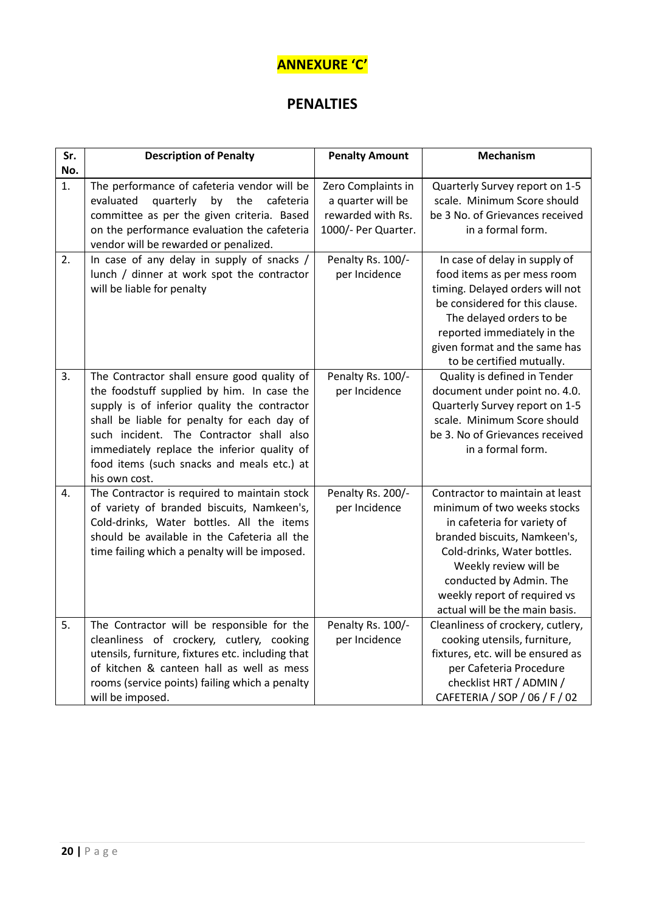# **ANNEXURE 'C'**

# **PENALTIES**

| Sr. | <b>Description of Penalty</b>                                                                                                                                                                                                                                                                                                                      | <b>Penalty Amount</b>                                                               | <b>Mechanism</b>                                                                                                                                                                                                                                                                   |  |  |
|-----|----------------------------------------------------------------------------------------------------------------------------------------------------------------------------------------------------------------------------------------------------------------------------------------------------------------------------------------------------|-------------------------------------------------------------------------------------|------------------------------------------------------------------------------------------------------------------------------------------------------------------------------------------------------------------------------------------------------------------------------------|--|--|
| No. |                                                                                                                                                                                                                                                                                                                                                    |                                                                                     |                                                                                                                                                                                                                                                                                    |  |  |
| 1.  | The performance of cafeteria vendor will be<br>quarterly<br>by<br>the<br>evaluated<br>cafeteria<br>committee as per the given criteria. Based<br>on the performance evaluation the cafeteria<br>vendor will be rewarded or penalized.                                                                                                              | Zero Complaints in<br>a quarter will be<br>rewarded with Rs.<br>1000/- Per Quarter. | Quarterly Survey report on 1-5<br>scale. Minimum Score should<br>be 3 No. of Grievances received<br>in a formal form.                                                                                                                                                              |  |  |
| 2.  | In case of any delay in supply of snacks /<br>lunch / dinner at work spot the contractor<br>will be liable for penalty                                                                                                                                                                                                                             | Penalty Rs. 100/-<br>per Incidence                                                  | In case of delay in supply of<br>food items as per mess room<br>timing. Delayed orders will not<br>be considered for this clause.<br>The delayed orders to be<br>reported immediately in the<br>given format and the same has<br>to be certified mutually.                         |  |  |
| 3.  | The Contractor shall ensure good quality of<br>the foodstuff supplied by him. In case the<br>supply is of inferior quality the contractor<br>shall be liable for penalty for each day of<br>such incident. The Contractor shall also<br>immediately replace the inferior quality of<br>food items (such snacks and meals etc.) at<br>his own cost. | Penalty Rs. 100/-<br>per Incidence                                                  | Quality is defined in Tender<br>document under point no. 4.0.<br>Quarterly Survey report on 1-5<br>scale. Minimum Score should<br>be 3. No of Grievances received<br>in a formal form.                                                                                             |  |  |
| 4.  | The Contractor is required to maintain stock<br>of variety of branded biscuits, Namkeen's,<br>Cold-drinks, Water bottles. All the items<br>should be available in the Cafeteria all the<br>time failing which a penalty will be imposed.                                                                                                           | Penalty Rs. 200/-<br>per Incidence                                                  | Contractor to maintain at least<br>minimum of two weeks stocks<br>in cafeteria for variety of<br>branded biscuits, Namkeen's,<br>Cold-drinks, Water bottles.<br>Weekly review will be<br>conducted by Admin. The<br>weekly report of required vs<br>actual will be the main basis. |  |  |
| 5.  | The Contractor will be responsible for the<br>cleanliness of crockery, cutlery, cooking<br>utensils, furniture, fixtures etc. including that<br>of kitchen & canteen hall as well as mess<br>rooms (service points) failing which a penalty<br>will be imposed.                                                                                    | Penalty Rs. 100/-<br>per Incidence                                                  | Cleanliness of crockery, cutlery,<br>cooking utensils, furniture,<br>fixtures, etc. will be ensured as<br>per Cafeteria Procedure<br>checklist HRT / ADMIN /<br>CAFETERIA / SOP / 06 / F / 02                                                                                      |  |  |